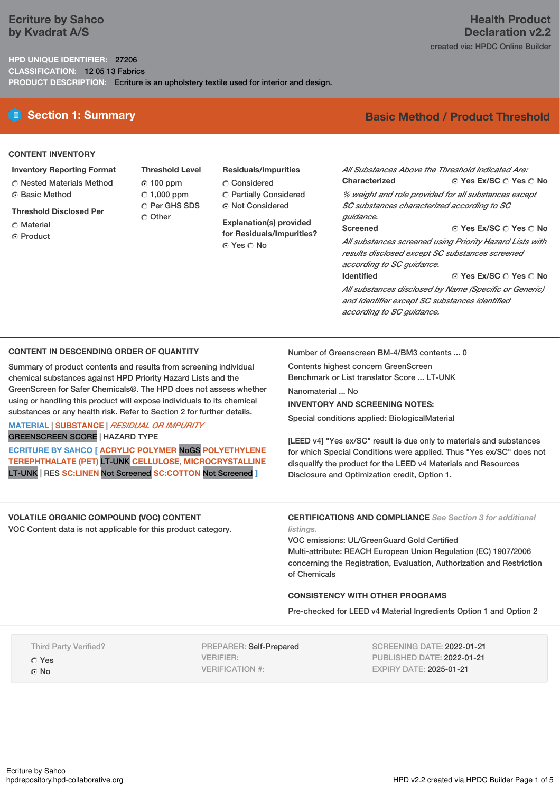# **Ecriture by Sahco by Kvadrat A/S**

**HPD UNIQUE IDENTIFIER:** 27206 **CLASSIFICATION:** 12 05 13 Fabrics **PRODUCT DESCRIPTION:** Ecriture is an upholstery textile used for interior and design.

# **E** Section 1: Summary **Basic** Method / Product Threshold

### **CONTENT INVENTORY**

- **Inventory Reporting Format**
- Nested Materials Method
- Basic Method
- **Threshold Disclosed Per**
- C Material
- **G** Product
- **Threshold Level** 100 ppm  $C$  1,000 ppm C Per GHS SDS Other
- **Residuals/Impurities** Considered Partially Considered Not Considered

**Explanation(s) provided for Residuals/Impurities?** Yes No

**Yes Ex/SC Yes No** *All Substances Above the Threshold Indicated Are:* **Characterized**

*% weight and role provided for all substances except SC substances characterized according to SC guidance.*

#### **Yes Ex/SC Yes No**

*All substances screened using Priority Hazard Lists with results disclosed except SC substances screened according to SC guidance.* **Identified**

**Yes Ex/SC Yes No**

*All substances disclosed by Name (Specific or Generic) and Identifier except SC substances identified according to SC guidance.*

### **CONTENT IN DESCENDING ORDER OF QUANTITY**

Summary of product contents and results from screening individual chemical substances against HPD Priority Hazard Lists and the GreenScreen for Safer Chemicals®. The HPD does not assess whether using or handling this product will expose individuals to its chemical substances or any health risk. Refer to Section 2 for further details.

### **MATERIAL** | **SUBSTANCE** | *RESIDUAL OR IMPURITY* GREENSCREEN SCORE | HAZARD TYPE

**ECRITURE BY SAHCO [ ACRYLIC POLYMER** NoGS **POLYETHYLENE TEREPHTHALATE (PET)** LT-UNK **CELLULOSE, MICROCRYSTALLINE** LT-UNK | RES **SC:LINEN** Not Screened **SC:COTTON** Not Screened **]**

Number of Greenscreen BM-4/BM3 contents ... 0

Contents highest concern GreenScreen Benchmark or List translator Score ... LT-UNK

Nanomaterial ... No

### **INVENTORY AND SCREENING NOTES:**

**Screened**

Special conditions applied: BiologicalMaterial

[LEED v4] "Yes ex/SC" result is due only to materials and substances for which Special Conditions were applied. Thus "Yes ex/SC" does not disqualify the product for the LEED v4 Materials and Resources Disclosure and Optimization credit, Option 1.

**VOLATILE ORGANIC COMPOUND (VOC) CONTENT** VOC Content data is not applicable for this product category.

**CERTIFICATIONS AND COMPLIANCE** *See Section 3 for additional listings.*

VOC emissions: UL/GreenGuard Gold Certified Multi-attribute: REACH European Union Regulation (EC) 1907/2006 concerning the Registration, Evaluation, Authorization and Restriction of Chemicals

# **CONSISTENCY WITH OTHER PROGRAMS**

Pre-checked for LEED v4 Material Ingredients Option 1 and Option 2

Third Party Verified? Yes  $\Omega$  No

PREPARER: Self-Prepared VERIFIER: VERIFICATION #:

SCREENING DATE: 2022-01-21 PUBLISHED DATE: 2022-01-21 EXPIRY DATE: 2025-01-21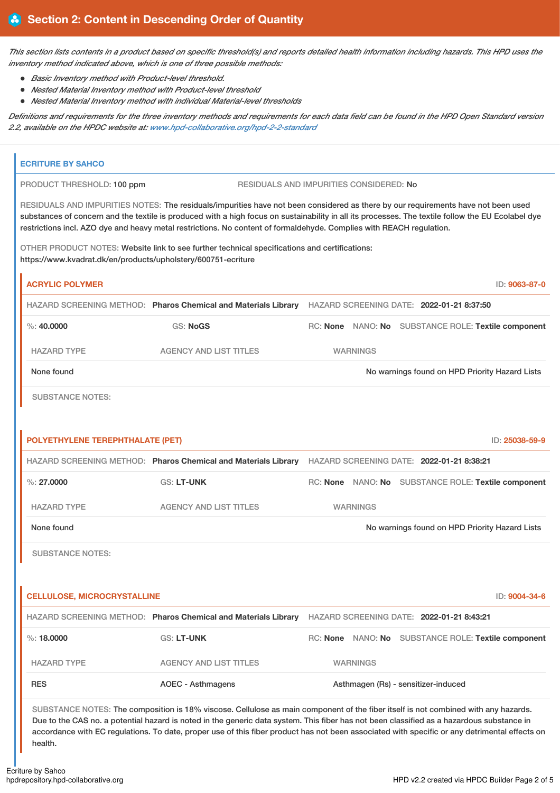This section lists contents in a product based on specific threshold(s) and reports detailed health information including hazards. This HPD uses the *inventory method indicated above, which is one of three possible methods:*

- *Basic Inventory method with Product-level threshold.*
- *Nested Material Inventory method with Product-level threshold*
- *Nested Material Inventory method with individual Material-level thresholds*

Definitions and requirements for the three inventory methods and requirements for each data field can be found in the HPD Open Standard version *2.2, available on the HPDC website at: [www.hpd-collaborative.org/hpd-2-2-standard](https://www.hpd-collaborative.org/hpd-2-2-standard)*

| <b>ECRITURE BY SAHCO</b>                                                                                                           |                                                                                                                                                                                                                                                                                                                                                                                                                 |                                                                |                                                                                                          |                 |                                                     |                |  |  |
|------------------------------------------------------------------------------------------------------------------------------------|-----------------------------------------------------------------------------------------------------------------------------------------------------------------------------------------------------------------------------------------------------------------------------------------------------------------------------------------------------------------------------------------------------------------|----------------------------------------------------------------|----------------------------------------------------------------------------------------------------------|-----------------|-----------------------------------------------------|----------------|--|--|
|                                                                                                                                    | RESIDUALS AND IMPURITIES CONSIDERED: No<br>PRODUCT THRESHOLD: 100 ppm                                                                                                                                                                                                                                                                                                                                           |                                                                |                                                                                                          |                 |                                                     |                |  |  |
|                                                                                                                                    | RESIDUALS AND IMPURITIES NOTES: The residuals/impurities have not been considered as there by our requirements have not been used<br>substances of concern and the textile is produced with a high focus on sustainability in all its processes. The textile follow the EU Ecolabel dye<br>restrictions incl. AZO dye and heavy metal restrictions. No content of formaldehyde. Complies with REACH regulation. |                                                                |                                                                                                          |                 |                                                     |                |  |  |
|                                                                                                                                    | OTHER PRODUCT NOTES: Website link to see further technical specifications and certifications:<br>https://www.kvadrat.dk/en/products/upholstery/600751-ecriture                                                                                                                                                                                                                                                  |                                                                |                                                                                                          |                 |                                                     |                |  |  |
|                                                                                                                                    | <b>ACRYLIC POLYMER</b>                                                                                                                                                                                                                                                                                                                                                                                          |                                                                |                                                                                                          |                 |                                                     | ID: 9063-87-0  |  |  |
|                                                                                                                                    |                                                                                                                                                                                                                                                                                                                                                                                                                 |                                                                | HAZARD SCREENING METHOD: Pharos Chemical and Materials Library HAZARD SCREENING DATE: 2022-01-21 8:37:50 |                 |                                                     |                |  |  |
|                                                                                                                                    | $\%$ : 40,0000                                                                                                                                                                                                                                                                                                                                                                                                  | <b>GS: NoGS</b>                                                |                                                                                                          |                 | RC: None NANO: No SUBSTANCE ROLE: Textile component |                |  |  |
|                                                                                                                                    | <b>HAZARD TYPE</b>                                                                                                                                                                                                                                                                                                                                                                                              | <b>AGENCY AND LIST TITLES</b>                                  | <b>WARNINGS</b>                                                                                          |                 |                                                     |                |  |  |
|                                                                                                                                    | None found                                                                                                                                                                                                                                                                                                                                                                                                      | No warnings found on HPD Priority Hazard Lists                 |                                                                                                          |                 |                                                     |                |  |  |
|                                                                                                                                    | <b>SUBSTANCE NOTES:</b>                                                                                                                                                                                                                                                                                                                                                                                         |                                                                |                                                                                                          |                 |                                                     |                |  |  |
|                                                                                                                                    |                                                                                                                                                                                                                                                                                                                                                                                                                 |                                                                |                                                                                                          |                 |                                                     |                |  |  |
|                                                                                                                                    | POLYETHYLENE TEREPHTHALATE (PET)                                                                                                                                                                                                                                                                                                                                                                                |                                                                |                                                                                                          |                 |                                                     | ID: 25038-59-9 |  |  |
|                                                                                                                                    |                                                                                                                                                                                                                                                                                                                                                                                                                 | HAZARD SCREENING METHOD: Pharos Chemical and Materials Library | HAZARD SCREENING DATE: 2022-01-21 8:38:21                                                                |                 |                                                     |                |  |  |
|                                                                                                                                    | $\%$ : 27,0000                                                                                                                                                                                                                                                                                                                                                                                                  | <b>GS: LT-UNK</b>                                              |                                                                                                          |                 | RC: None NANO: No SUBSTANCE ROLE: Textile component |                |  |  |
|                                                                                                                                    | <b>HAZARD TYPE</b>                                                                                                                                                                                                                                                                                                                                                                                              | <b>AGENCY AND LIST TITLES</b>                                  | <b>WARNINGS</b>                                                                                          |                 |                                                     |                |  |  |
|                                                                                                                                    | None found                                                                                                                                                                                                                                                                                                                                                                                                      |                                                                |                                                                                                          |                 | No warnings found on HPD Priority Hazard Lists      |                |  |  |
|                                                                                                                                    | <b>SUBSTANCE NOTES:</b>                                                                                                                                                                                                                                                                                                                                                                                         |                                                                |                                                                                                          |                 |                                                     |                |  |  |
|                                                                                                                                    |                                                                                                                                                                                                                                                                                                                                                                                                                 |                                                                |                                                                                                          |                 |                                                     |                |  |  |
|                                                                                                                                    | <b>CELLULOSE, MICROCRYSTALLINE</b>                                                                                                                                                                                                                                                                                                                                                                              |                                                                |                                                                                                          |                 |                                                     | ID: 9004-34-6  |  |  |
| HAZARD SCREENING METHOD: Pharos Chemical and Materials Library                                                                     |                                                                                                                                                                                                                                                                                                                                                                                                                 |                                                                | HAZARD SCREENING DATE: 2022-01-21 8:43:21                                                                |                 |                                                     |                |  |  |
|                                                                                                                                    | %:18.0000                                                                                                                                                                                                                                                                                                                                                                                                       | GS: LT-UNK                                                     |                                                                                                          |                 | RC: None NANO: No SUBSTANCE ROLE: Textile component |                |  |  |
|                                                                                                                                    | <b>HAZARD TYPE</b>                                                                                                                                                                                                                                                                                                                                                                                              | <b>AGENCY AND LIST TITLES</b>                                  |                                                                                                          | <b>WARNINGS</b> |                                                     |                |  |  |
| <b>RES</b><br><b>AOEC - Asthmagens</b>                                                                                             |                                                                                                                                                                                                                                                                                                                                                                                                                 |                                                                | Asthmagen (Rs) - sensitizer-induced                                                                      |                 |                                                     |                |  |  |
| SUBSTANCE NOTES: The composition is 18% viscose. Cellulose as main component of the fiber itself is not combined with any hazards. |                                                                                                                                                                                                                                                                                                                                                                                                                 |                                                                |                                                                                                          |                 |                                                     |                |  |  |

Due to the CAS no. a potential hazard is noted in the generic data system. This fiber has not been classified as a hazardous substance in accordance with EC regulations. To date, proper use of this fiber product has not been associated with specific or any detrimental effects on health.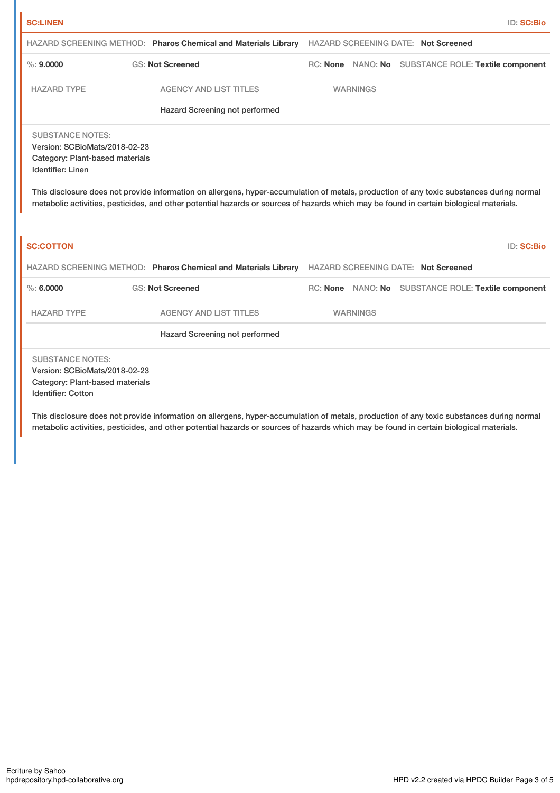| <b>SC:LINEN</b>                                                                                                                                                                                                                                                                                                                                                                                          |                                                                |  |                 |                                                     | ID: SC:Bio |
|----------------------------------------------------------------------------------------------------------------------------------------------------------------------------------------------------------------------------------------------------------------------------------------------------------------------------------------------------------------------------------------------------------|----------------------------------------------------------------|--|-----------------|-----------------------------------------------------|------------|
|                                                                                                                                                                                                                                                                                                                                                                                                          | HAZARD SCREENING METHOD: Pharos Chemical and Materials Library |  |                 | <b>HAZARD SCREENING DATE: Not Screened</b>          |            |
| $\%$ : 9.0000                                                                                                                                                                                                                                                                                                                                                                                            | <b>GS: Not Screened</b>                                        |  |                 | RC: None NANO: No SUBSTANCE ROLE: Textile component |            |
| <b>HAZARD TYPE</b>                                                                                                                                                                                                                                                                                                                                                                                       | <b>AGENCY AND LIST TITLES</b>                                  |  | <b>WARNINGS</b> |                                                     |            |
|                                                                                                                                                                                                                                                                                                                                                                                                          | Hazard Screening not performed                                 |  |                 |                                                     |            |
| <b>SUBSTANCE NOTES:</b><br>Version: SCBioMats/2018-02-23<br>Category: Plant-based materials<br>Identifier: Linen<br>This disclosure does not provide information on allergens, hyper-accumulation of metals, production of any toxic substances during normal<br>metabolic activities, pesticides, and other potential hazards or sources of hazards which may be found in certain biological materials. |                                                                |  |                 |                                                     |            |
| <b>SC:COTTON</b>                                                                                                                                                                                                                                                                                                                                                                                         |                                                                |  |                 |                                                     | ID: SC:Bio |
|                                                                                                                                                                                                                                                                                                                                                                                                          | HAZARD SCREENING METHOD: Pharos Chemical and Materials Library |  |                 | <b>HAZARD SCREENING DATE: Not Screened</b>          |            |
| $\%$ : 6.0000                                                                                                                                                                                                                                                                                                                                                                                            | <b>GS: Not Screened</b>                                        |  |                 | RC: None NANO: No SUBSTANCE ROLE: Textile component |            |
| <b>HAZARD TYPE</b>                                                                                                                                                                                                                                                                                                                                                                                       | <b>AGENCY AND LIST TITLES</b>                                  |  | <b>WARNINGS</b> |                                                     |            |
|                                                                                                                                                                                                                                                                                                                                                                                                          | Hazard Screening not performed                                 |  |                 |                                                     |            |
| <b>SUBSTANCE NOTES:</b><br>Version: SCBioMats/2018-02-23<br>Category: Plant-based materials<br><b>Identifier: Cotton</b>                                                                                                                                                                                                                                                                                 |                                                                |  |                 |                                                     |            |

This disclosure does not provide information on allergens, hyper-accumulation of metals, production of any toxic substances during normal metabolic activities, pesticides, and other potential hazards or sources of hazards which may be found in certain biological materials.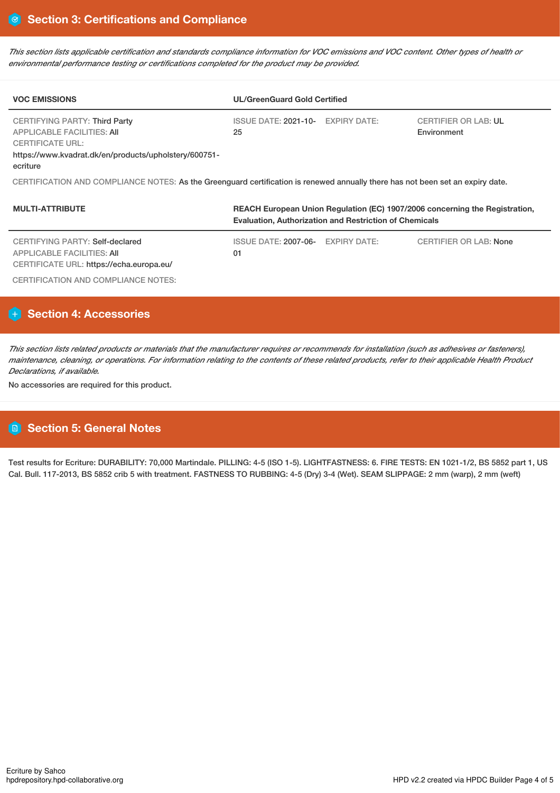This section lists applicable certification and standards compliance information for VOC emissions and VOC content. Other types of health or *environmental performance testing or certifications completed for the product may be provided.*

| <b>VOC EMISSIONS</b>                                                                                                                                                      | <b>UL/GreenGuard Gold Certified</b>                                                                                                          |                                            |  |  |  |
|---------------------------------------------------------------------------------------------------------------------------------------------------------------------------|----------------------------------------------------------------------------------------------------------------------------------------------|--------------------------------------------|--|--|--|
| <b>CERTIFYING PARTY: Third Party</b><br><b>APPLICABLE FACILITIES: AII</b><br><b>CERTIFICATE URL:</b><br>https://www.kvadrat.dk/en/products/upholstery/600751-<br>ecriture | ISSUE DATE: 2021-10- EXPIRY DATE:<br>25                                                                                                      | <b>CERTIFIER OR LAB: UL</b><br>Environment |  |  |  |
| CERTIFICATION AND COMPLIANCE NOTES: As the Greenguard certification is renewed annually there has not been set an expiry date.                                            |                                                                                                                                              |                                            |  |  |  |
| <b>MULTI-ATTRIBUTE</b>                                                                                                                                                    | REACH European Union Regulation (EC) 1907/2006 concerning the Registration,<br><b>Evaluation, Authorization and Restriction of Chemicals</b> |                                            |  |  |  |

| CERTIFYING PARTY: Self-declared                                        | ISSUE DATE: 2007-06- EXPIRY DATE: | <b>CERTIFIER OR LAB: None</b> |
|------------------------------------------------------------------------|-----------------------------------|-------------------------------|
| APPLICABLE FACILITIES: AII<br>CERTIFICATE URL: https://echa.europa.eu/ | 01                                |                               |
| CERTIFICATION AND COMPLIANCE NOTES:                                    |                                   |                               |

# **Section 4: Accessories**

This section lists related products or materials that the manufacturer requires or recommends for installation (such as adhesives or fasteners), maintenance, cleaning, or operations. For information relating to the contents of these related products, refer to their applicable Health Product *Declarations, if available.*

No accessories are required for this product.

# **Section 5: General Notes**

Test results for Ecriture: DURABILITY: 70,000 Martindale. PILLING: 4-5 (ISO 1-5). LIGHTFASTNESS: 6. FIRE TESTS: EN 1021-1/2, BS 5852 part 1, US Cal. Bull. 117-2013, BS 5852 crib 5 with treatment. FASTNESS TO RUBBING: 4-5 (Dry) 3-4 (Wet). SEAM SLIPPAGE: 2 mm (warp), 2 mm (weft)